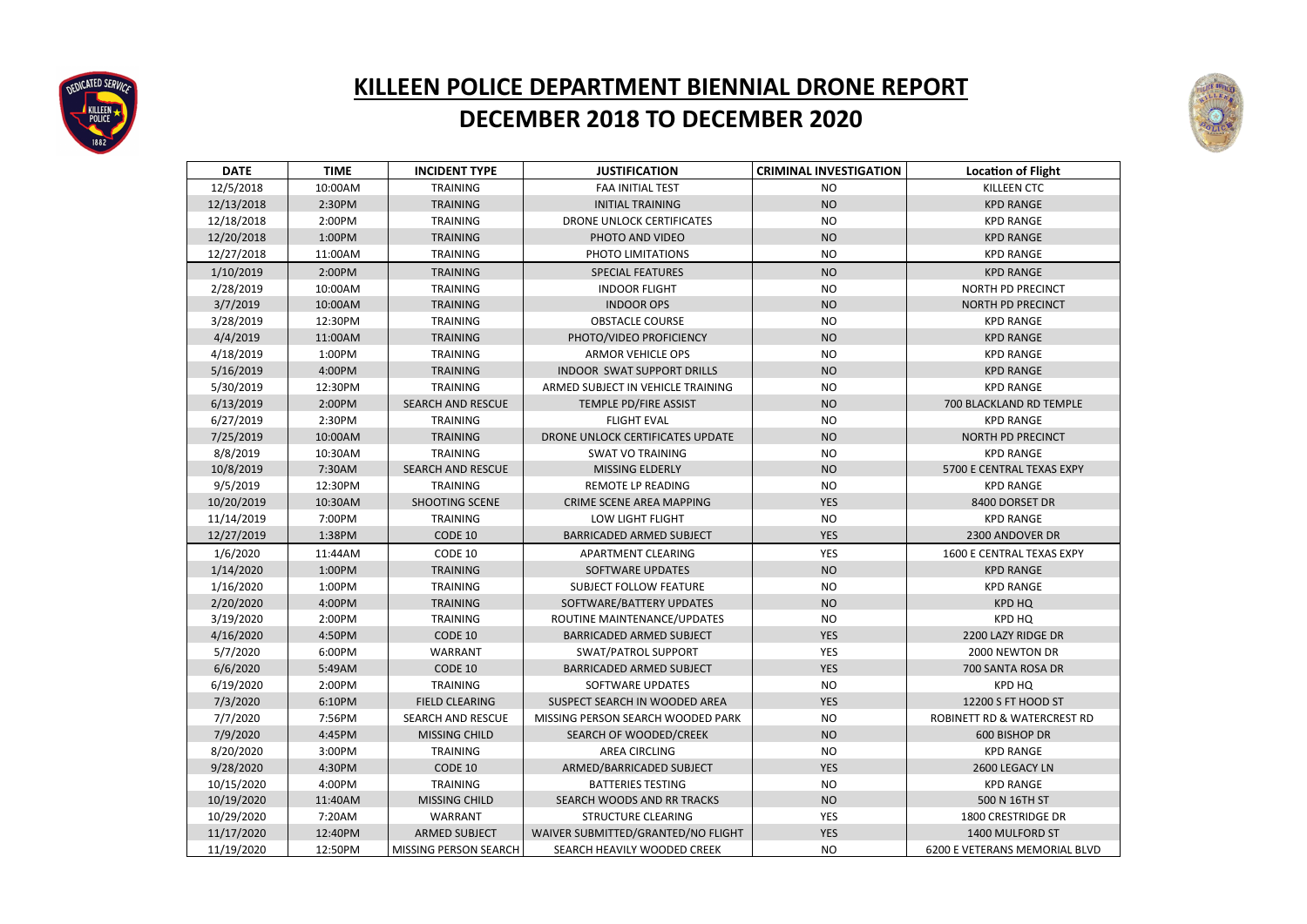| <b>DATE</b> | <b>TIME</b> | <b>INCIDENT TYPE</b>     | <b>JUSTIFICATION</b>               | <b>CRIMINAL INVESTIGATION</b> | <b>Location of Flight</b>     |
|-------------|-------------|--------------------------|------------------------------------|-------------------------------|-------------------------------|
| 12/5/2018   | 10:00AM     | <b>TRAINING</b>          | <b>FAA INITIAL TEST</b>            | <b>NO</b>                     | <b>KILLEEN CTC</b>            |
| 12/13/2018  | 2:30PM      | <b>TRAINING</b>          | <b>INITIAL TRAINING</b>            | <b>NO</b>                     | <b>KPD RANGE</b>              |
| 12/18/2018  | 2:00PM      | <b>TRAINING</b>          | <b>DRONE UNLOCK CERTIFICATES</b>   | <b>NO</b>                     | <b>KPD RANGE</b>              |
| 12/20/2018  | 1:00PM      | <b>TRAINING</b>          | PHOTO AND VIDEO                    | <b>NO</b>                     | <b>KPD RANGE</b>              |
| 12/27/2018  | 11:00AM     | <b>TRAINING</b>          | PHOTO LIMITATIONS                  | <b>NO</b>                     | <b>KPD RANGE</b>              |
| 1/10/2019   | 2:00PM      | <b>TRAINING</b>          | <b>SPECIAL FEATURES</b>            | <b>NO</b>                     | <b>KPD RANGE</b>              |
| 2/28/2019   | 10:00AM     | <b>TRAINING</b>          | <b>INDOOR FLIGHT</b>               | <b>NO</b>                     | <b>NORTH PD PRECINCT</b>      |
| 3/7/2019    | 10:00AM     | <b>TRAINING</b>          | <b>INDOOR OPS</b>                  | <b>NO</b>                     | NORTH PD PRECINCT             |
| 3/28/2019   | 12:30PM     | <b>TRAINING</b>          | <b>OBSTACLE COURSE</b>             | <b>NO</b>                     | <b>KPD RANGE</b>              |
| 4/4/2019    | 11:00AM     | <b>TRAINING</b>          | PHOTO/VIDEO PROFICIENCY            | <b>NO</b>                     | <b>KPD RANGE</b>              |
| 4/18/2019   | 1:00PM      | <b>TRAINING</b>          | <b>ARMOR VEHICLE OPS</b>           | <b>NO</b>                     | <b>KPD RANGE</b>              |
| 5/16/2019   | 4:00PM      | <b>TRAINING</b>          | <b>INDOOR SWAT SUPPORT DRILLS</b>  | <b>NO</b>                     | <b>KPD RANGE</b>              |
| 5/30/2019   | 12:30PM     | <b>TRAINING</b>          | ARMED SUBJECT IN VEHICLE TRAINING  | <b>NO</b>                     | <b>KPD RANGE</b>              |
| 6/13/2019   | 2:00PM      | <b>SEARCH AND RESCUE</b> | TEMPLE PD/FIRE ASSIST              | <b>NO</b>                     | 700 BLACKLAND RD TEMPLE       |
| 6/27/2019   | 2:30PM      | <b>TRAINING</b>          | <b>FLIGHT EVAL</b>                 | <b>NO</b>                     | <b>KPD RANGE</b>              |
| 7/25/2019   | 10:00AM     | <b>TRAINING</b>          | DRONE UNLOCK CERTIFICATES UPDATE   | <b>NO</b>                     | NORTH PD PRECINCT             |
| 8/8/2019    | 10:30AM     | <b>TRAINING</b>          | <b>SWAT VO TRAINING</b>            | <b>NO</b>                     | <b>KPD RANGE</b>              |
| 10/8/2019   | 7:30AM      | <b>SEARCH AND RESCUE</b> | MISSING ELDERLY                    | <b>NO</b>                     | 5700 E CENTRAL TEXAS EXPY     |
| 9/5/2019    | 12:30PM     | <b>TRAINING</b>          | <b>REMOTE LP READING</b>           | <b>NO</b>                     | <b>KPD RANGE</b>              |
| 10/20/2019  | 10:30AM     | SHOOTING SCENE           | CRIME SCENE AREA MAPPING           | <b>YES</b>                    | 8400 DORSET DR                |
| 11/14/2019  | 7:00PM      | <b>TRAINING</b>          | LOW LIGHT FLIGHT                   | <b>NO</b>                     | <b>KPD RANGE</b>              |
| 12/27/2019  | 1:38PM      | CODE 10                  | <b>BARRICADED ARMED SUBJECT</b>    | <b>YES</b>                    | 2300 ANDOVER DR               |
| 1/6/2020    | 11:44AM     | CODE 10                  | APARTMENT CLEARING                 | <b>YES</b>                    | 1600 E CENTRAL TEXAS EXPY     |
| 1/14/2020   | 1:00PM      | <b>TRAINING</b>          | <b>SOFTWARE UPDATES</b>            | <b>NO</b>                     | <b>KPD RANGE</b>              |
| 1/16/2020   | 1:00PM      | <b>TRAINING</b>          | <b>SUBJECT FOLLOW FEATURE</b>      | <b>NO</b>                     | <b>KPD RANGE</b>              |
| 2/20/2020   | 4:00PM      | <b>TRAINING</b>          | SOFTWARE/BATTERY UPDATES           | <b>NO</b>                     | <b>KPD HQ</b>                 |
| 3/19/2020   | 2:00PM      | <b>TRAINING</b>          | ROUTINE MAINTENANCE/UPDATES        | <b>NO</b>                     | <b>KPD HQ</b>                 |
| 4/16/2020   | 4:50PM      | CODE 10                  | <b>BARRICADED ARMED SUBJECT</b>    | <b>YES</b>                    | 2200 LAZY RIDGE DR            |
| 5/7/2020    | 6:00PM      | WARRANT                  | SWAT/PATROL SUPPORT                | <b>YES</b>                    | 2000 NEWTON DR                |
| 6/6/2020    | 5:49AM      | CODE 10                  | <b>BARRICADED ARMED SUBJECT</b>    | <b>YES</b>                    | 700 SANTA ROSA DR             |
| 6/19/2020   | 2:00PM      | <b>TRAINING</b>          | SOFTWARE UPDATES                   | <b>NO</b>                     | <b>KPD HQ</b>                 |
| 7/3/2020    | 6:10PM      | <b>FIELD CLEARING</b>    | SUSPECT SEARCH IN WOODED AREA      | <b>YES</b>                    | 12200 S FT HOOD ST            |
| 7/7/2020    | 7:56PM      | <b>SEARCH AND RESCUE</b> | MISSING PERSON SEARCH WOODED PARK  | <b>NO</b>                     | ROBINETT RD & WATERCREST RD   |
| 7/9/2020    | 4:45PM      | MISSING CHILD            | SEARCH OF WOODED/CREEK             | <b>NO</b>                     | 600 BISHOP DR                 |
| 8/20/2020   | 3:00PM      | <b>TRAINING</b>          | <b>AREA CIRCLING</b>               | <b>NO</b>                     | <b>KPD RANGE</b>              |
| 9/28/2020   | 4:30PM      | CODE 10                  | ARMED/BARRICADED SUBJECT           | <b>YES</b>                    | 2600 LEGACY LN                |
| 10/15/2020  | 4:00PM      | <b>TRAINING</b>          | <b>BATTERIES TESTING</b>           | <b>NO</b>                     | <b>KPD RANGE</b>              |
| 10/19/2020  | 11:40AM     | MISSING CHILD            | SEARCH WOODS AND RR TRACKS         | <b>NO</b>                     | 500 N 16TH ST                 |
| 10/29/2020  | 7:20AM      | <b>WARRANT</b>           | <b>STRUCTURE CLEARING</b>          | <b>YES</b>                    | 1800 CRESTRIDGE DR            |
| 11/17/2020  | 12:40PM     | <b>ARMED SUBJECT</b>     | WAIVER SUBMITTED/GRANTED/NO FLIGHT | <b>YES</b>                    | 1400 MULFORD ST               |
| 11/19/2020  | 12:50PM     | MISSING PERSON SEARCH    | SEARCH HEAVILY WOODED CREEK        | <b>NO</b>                     | 6200 E VETERANS MEMORIAL BLVD |





## **KILLEEN POLICE DEPARTMENT BIENNIAL DRONE REPORT DECEMBER 2018 TO DECEMBER 2020**